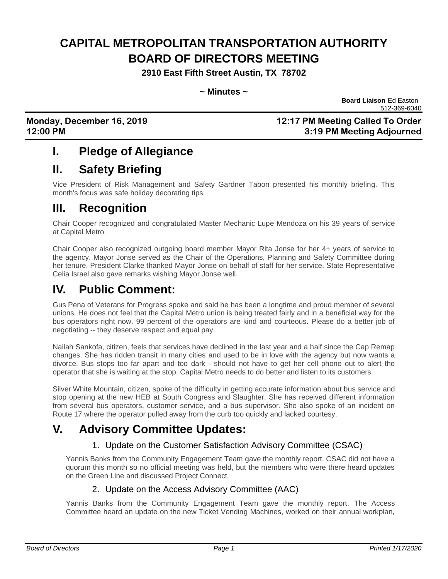# **CAPITAL METROPOLITAN TRANSPORTATION AUTHORITY BOARD OF DIRECTORS MEETING**

**2910 East Fifth Street Austin, TX 78702**

#### **~ Minutes ~**

**Board Liaison** Ed Easton 512-369-6040

**Monday, December 16, 2019 12:17 PM Meeting Called To Order 12:00 PM 3:19 PM Meeting Adjourned**

## **I. Pledge of Allegiance**

## **II. Safety Briefing**

Vice President of Risk Management and Safety Gardner Tabon presented his monthly briefing. This month's focus was safe holiday decorating tips.

## **III. Recognition**

Chair Cooper recognized and congratulated Master Mechanic Lupe Mendoza on his 39 years of service at Capital Metro.

Chair Cooper also recognized outgoing board member Mayor Rita Jonse for her 4+ years of service to the agency. Mayor Jonse served as the Chair of the Operations, Planning and Safety Committee during her tenure. President Clarke thanked Mayor Jonse on behalf of staff for her service. State Representative Celia Israel also gave remarks wishing Mayor Jonse well.

## **IV. Public Comment:**

Gus Pena of Veterans for Progress spoke and said he has been a longtime and proud member of several unions. He does not feel that the Capital Metro union is being treated fairly and in a beneficial way for the bus operators right now. 99 percent of the operators are kind and courteous. Please do a better job of negotiating -- they deserve respect and equal pay.

Nailah Sankofa, citizen, feels that services have declined in the last year and a half since the Cap Remap changes. She has ridden transit in many cities and used to be in love with the agency but now wants a divorce. Bus stops too far apart and too dark - should not have to get her cell phone out to alert the operator that she is waiting at the stop. Capital Metro needs to do better and listen to its customers.

Silver White Mountain, citizen, spoke of the difficulty in getting accurate information about bus service and stop opening at the new HEB at South Congress and Slaughter. She has received different information from several bus operators, customer service, and a bus supervisor. She also spoke of an incident on Route 17 where the operator pulled away from the curb too quickly and lacked courtesy.

## **V. Advisory Committee Updates:**

### 1. Update on the Customer Satisfaction Advisory Committee (CSAC)

Yannis Banks from the Community Engagement Team gave the monthly report. CSAC did not have a quorum this month so no official meeting was held, but the members who were there heard updates on the Green Line and discussed Project Connect.

### 2. Update on the Access Advisory Committee (AAC)

Yannis Banks from the Community Engagement Team gave the monthly report. The Access Committee heard an update on the new Ticket Vending Machines, worked on their annual workplan,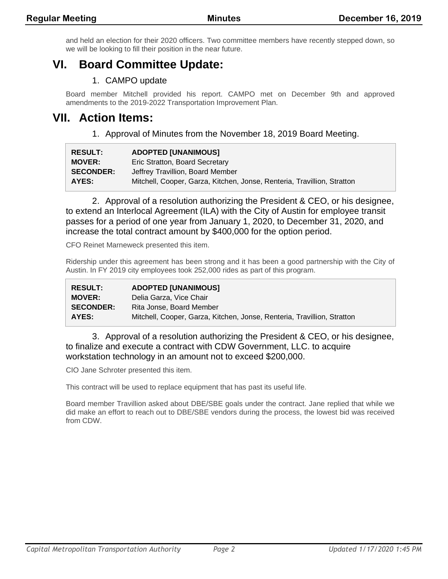and held an election for their 2020 officers. Two committee members have recently stepped down, so we will be looking to fill their position in the near future.

## **VI. Board Committee Update:**

### 1. CAMPO update

Board member Mitchell provided his report. CAMPO met on December 9th and approved amendments to the 2019-2022 Transportation Improvement Plan.

### **VII. Action Items:**

1. Approval of Minutes from the November 18, 2019 Board Meeting.

| <b>RESULT:</b>   | <b>ADOPTED [UNANIMOUS]</b>                                              |
|------------------|-------------------------------------------------------------------------|
| <b>MOVER:</b>    | Eric Stratton, Board Secretary                                          |
| <b>SECONDER:</b> | Jeffrey Travillion, Board Member                                        |
| AYES:            | Mitchell, Cooper, Garza, Kitchen, Jonse, Renteria, Travillion, Stratton |

2. Approval of a resolution authorizing the President & CEO, or his designee, to extend an Interlocal Agreement (ILA) with the City of Austin for employee transit passes for a period of one year from January 1, 2020, to December 31, 2020, and increase the total contract amount by \$400,000 for the option period.

CFO Reinet Marneweck presented this item.

Ridership under this agreement has been strong and it has been a good partnership with the City of Austin. In FY 2019 city employees took 252,000 rides as part of this program.

| <b>RESULT:</b>   | <b>ADOPTED [UNANIMOUS]</b>                                              |
|------------------|-------------------------------------------------------------------------|
| <b>MOVER:</b>    | Delia Garza, Vice Chair                                                 |
| <b>SECONDER:</b> | Rita Jonse, Board Member                                                |
| AYES:            | Mitchell, Cooper, Garza, Kitchen, Jonse, Renteria, Travillion, Stratton |

3. Approval of a resolution authorizing the President & CEO, or his designee, to finalize and execute a contract with CDW Government, LLC. to acquire workstation technology in an amount not to exceed \$200,000.

CIO Jane Schroter presented this item.

This contract will be used to replace equipment that has past its useful life.

Board member Travillion asked about DBE/SBE goals under the contract. Jane replied that while we did make an effort to reach out to DBE/SBE vendors during the process, the lowest bid was received from CDW.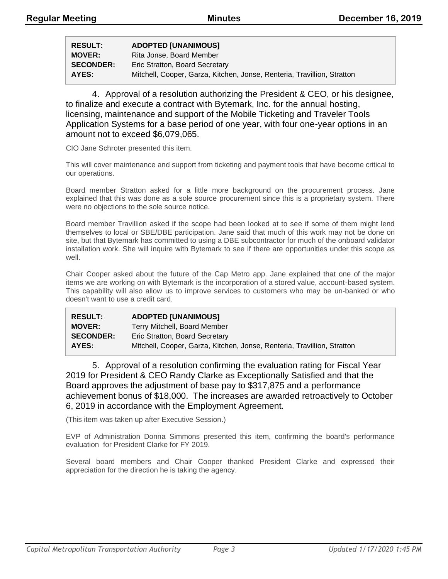| <b>RESULT:</b>   | <b>ADOPTED [UNANIMOUS]</b>                                              |
|------------------|-------------------------------------------------------------------------|
| <b>MOVER:</b>    | Rita Jonse, Board Member                                                |
| <b>SECONDER:</b> | Eric Stratton, Board Secretary                                          |
| AYES:            | Mitchell, Cooper, Garza, Kitchen, Jonse, Renteria, Travillion, Stratton |

4. Approval of a resolution authorizing the President & CEO, or his designee, to finalize and execute a contract with Bytemark, Inc. for the annual hosting, licensing, maintenance and support of the Mobile Ticketing and Traveler Tools Application Systems for a base period of one year, with four one-year options in an amount not to exceed \$6,079,065.

CIO Jane Schroter presented this item.

This will cover maintenance and support from ticketing and payment tools that have become critical to our operations.

Board member Stratton asked for a little more background on the procurement process. Jane explained that this was done as a sole source procurement since this is a proprietary system. There were no objections to the sole source notice.

Board member Travillion asked if the scope had been looked at to see if some of them might lend themselves to local or SBE/DBE participation. Jane said that much of this work may not be done on site, but that Bytemark has committed to using a DBE subcontractor for much of the onboard validator installation work. She will inquire with Bytemark to see if there are opportunities under this scope as well.

Chair Cooper asked about the future of the Cap Metro app. Jane explained that one of the major items we are working on with Bytemark is the incorporation of a stored value, account-based system. This capability will also allow us to improve services to customers who may be un-banked or who doesn't want to use a credit card.

| <b>RESULT:</b>   | <b>ADOPTED [UNANIMOUS]</b>                                              |
|------------------|-------------------------------------------------------------------------|
| <b>MOVER:</b>    | Terry Mitchell, Board Member                                            |
| <b>SECONDER:</b> | Eric Stratton, Board Secretary                                          |
| AYES:            | Mitchell, Cooper, Garza, Kitchen, Jonse, Renteria, Travillion, Stratton |

5. Approval of a resolution confirming the evaluation rating for Fiscal Year 2019 for President & CEO Randy Clarke as Exceptionally Satisfied and that the Board approves the adjustment of base pay to \$317,875 and a performance achievement bonus of \$18,000. The increases are awarded retroactively to October 6, 2019 in accordance with the Employment Agreement.

(This item was taken up after Executive Session.)

EVP of Administration Donna Simmons presented this item, confirming the board's performance evaluation for President Clarke for FY 2019.

Several board members and Chair Cooper thanked President Clarke and expressed their appreciation for the direction he is taking the agency.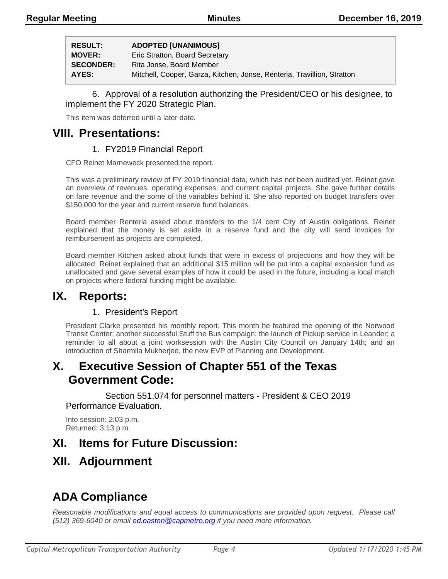| <b>RESULT:</b>   | <b>ADOPTED [UNANIMOUS]</b>                                              |
|------------------|-------------------------------------------------------------------------|
| <b>MOVER:</b>    | Eric Stratton, Board Secretary                                          |
| <b>SECONDER:</b> | Rita Jonse, Board Member                                                |
| AYES:            | Mitchell, Cooper, Garza, Kitchen, Jonse, Renteria, Travillion, Stratton |

#### 6. Approval of a resolution authorizing the President/CEO or his designee, to implement the FY 2020 Strategic Plan.

This item was deferred until a later date.

### **VIII. Presentations:**

### 1. FY2019 Financial Report

CFO Reinet Marneweck presented the report.

This was a preliminary review of FY 2019 financial data, which has not been audited yet. Reinet gave an overview of revenues, operating expenses, and current capital projects. She gave further details on fare revenue and the some of the variables behind it. She also reported on budget transfers over \$150,000 for the year and current reserve fund balances.

Board member Renteria asked about transfers to the 1/4 cent City of Austin obligations. Reinet explained that the money is set aside in a reserve fund and the city will send invoices for reimbursement as projects are completed.

Board member Kitchen asked about funds that were in excess of projections and how they will be allocated. Reinet explained that an additional \$15 million will be put into a capital expansion fund as unallocated and gave several examples of how it could be used in the future, including a local match on projects where federal funding might be available.

## **IX. Reports:**

### 1. President's Report

President Clarke presented his monthly report. This month he featured the opening of the Norwood Transit Center; another successful Stuff the Bus campaign; the launch of Pickup service in Leander; a reminder to all about a joint worksession with the Austin City Council on January 14th; and an introduction of Sharmila Mukherjee, the new EVP of Planning and Development.

## **X. Executive Session of Chapter 551 of the Texas Government Code:**

Section 551.074 for personnel matters - President & CEO 2019 Performance Evaluation.

Into session: 2:03 p.m. Returned: 3:13 p.m.

## **XI. Items for Future Discussion:**

## **XII. Adjournment**

## **ADA Compliance**

*Reasonable modifications and equal access to communications are provided upon request. Please call (512) 369-6040 or email ed.easton@capmetro.org if you need more information.*